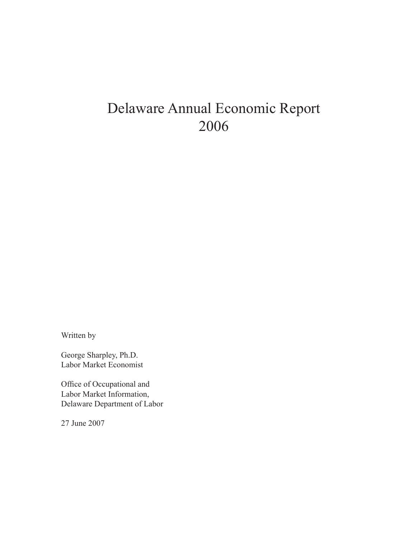# Delaware Annual Economic Report 2006

Written by

George Sharpley, Ph.D. Labor Market Economist

Office of Occupational and Labor Market Information, Delaware Department of Labor

27 June 2007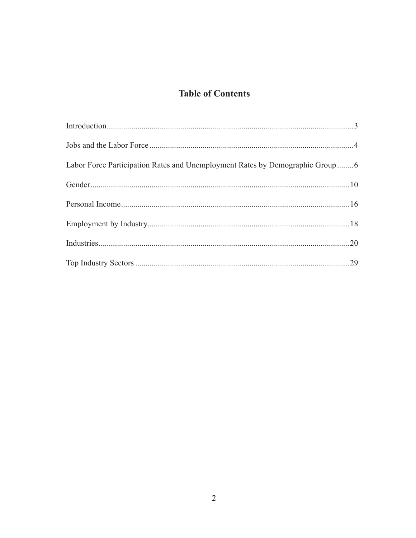## **Table of Contents**

| Labor Force Participation Rates and Unemployment Rates by Demographic Group6 |  |
|------------------------------------------------------------------------------|--|
|                                                                              |  |
|                                                                              |  |
|                                                                              |  |
|                                                                              |  |
|                                                                              |  |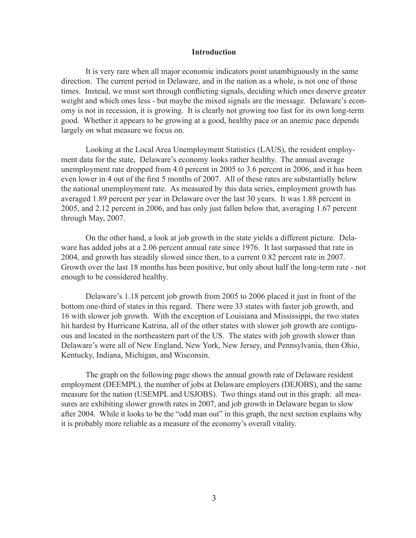#### **Introduction**

It is very rare when all major economic indicators point unambiguously in the same direction. The current period in Delaware, and in the nation as a whole, is not one of those times. Instead, we must sort through conflicting signals, deciding which ones deserve greater weight and which ones less - but maybe the mixed signals are the message. Delaware's economy is not in recession, it is growing. It is clearly not growing too fast for its own long-term good. Whether it appears to be growing at a good, healthy pace or an anemic pace depends largely on what measure we focus on.

Looking at the Local Area Unemployment Statistics (LAUS), the resident employment data for the state, Delaware's economy looks rather healthy. The annual average unemployment rate dropped from 4.0 percent in 2005 to 3.6 percent in 2006, and it has been even lower in 4 out of the first 5 months of 2007. All of these rates are substantially below the national unemployment rate. As measured by this data series, employment growth has averaged 1.89 percent per year in Delaware over the last 30 years. It was 1.88 percent in 2005, and 2.12 percent in 2006, and has only just fallen below that, averaging 1.67 percent through May, 2007.

On the other hand, a look at job growth in the state yields a different picture. Delaware has added jobs at a 2.06 percent annual rate since 1976. It last surpassed that rate in 2004, and growth has steadily slowed since then, to a current 0.82 percent rate in 2007. Growth over the last 18 months has been positive, but only about half the long-term rate - not enough to be considered healthy.

Delaware's 1.18 percent job growth from 2005 to 2006 placed it just in front of the bottom one-third of states in this regard. There were 33 states with faster job growth, and 16 with slower job growth. With the exception of Louisiana and Mississippi, the two states hit hardest by Hurricane Katrina, all of the other states with slower job growth are contiguous and located in the northeastern part of the US. The states with job growth slower than Delaware's were all of New England, New York, New Jersey, and Pennsylvania, then Ohio, Kentucky, Indiana, Michigan, and Wisconsin.

The graph on the following page shows the annual growth rate of Delaware resident employment (DEEMPL), the number of jobs at Delaware employers (DEJOBS), and the same measure for the nation (USEMPL and USJOBS). Two things stand out in this graph: all measures are exhibiting slower growth rates in 2007, and job growth in Delaware began to slow after 2004. While it looks to be the "odd man out" in this graph, the next section explains why it is probably more reliable as a measure of the economy's overall vitality.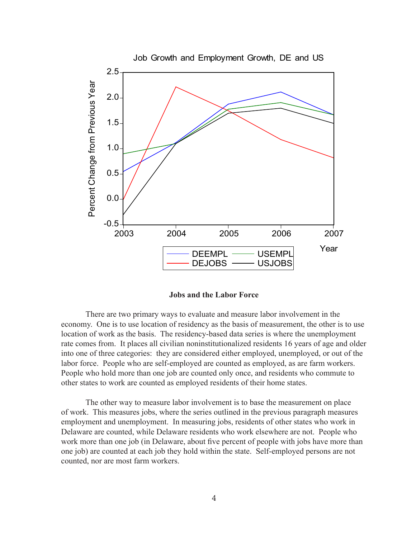

**Jobs and the Labor Force**

There are two primary ways to evaluate and measure labor involvement in the economy. One is to use location of residency as the basis of measurement, the other is to use location of work as the basis. The residency-based data series is where the unemployment rate comes from. It places all civilian noninstitutionalized residents 16 years of age and older into one of three categories: they are considered either employed, unemployed, or out of the labor force. People who are self-employed are counted as employed, as are farm workers. People who hold more than one job are counted only once, and residents who commute to other states to work are counted as employed residents of their home states.

The other way to measure labor involvement is to base the measurement on place of work. This measures jobs, where the series outlined in the previous paragraph measures employment and unemployment. In measuring jobs, residents of other states who work in Delaware are counted, while Delaware residents who work elsewhere are not. People who work more than one job (in Delaware, about five percent of people with jobs have more than one job) are counted at each job they hold within the state. Self-employed persons are not counted, nor are most farm workers.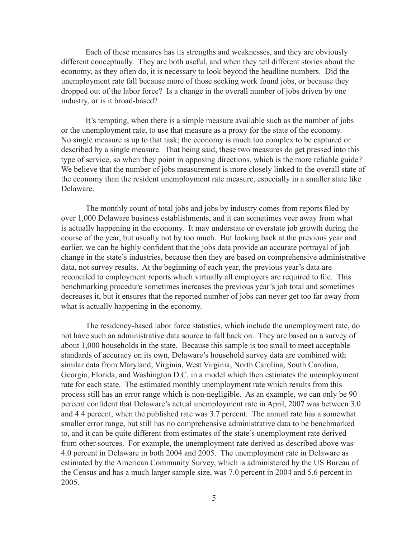Each of these measures has its strengths and weaknesses, and they are obviously different conceptually. They are both useful, and when they tell different stories about the economy, as they often do, it is necessary to look beyond the headline numbers. Did the unemployment rate fall because more of those seeking work found jobs, or because they dropped out of the labor force? Is a change in the overall number of jobs driven by one industry, or is it broad-based?

It's tempting, when there is a simple measure available such as the number of jobs or the unemployment rate, to use that measure as a proxy for the state of the economy. No single measure is up to that task; the economy is much too complex to be captured or described by a single measure. That being said, these two measures do get pressed into this type of service, so when they point in opposing directions, which is the more reliable guide? We believe that the number of jobs measurement is more closely linked to the overall state of the economy than the resident unemployment rate measure, especially in a smaller state like Delaware.

The monthly count of total jobs and jobs by industry comes from reports filed by over 1,000 Delaware business establishments, and it can sometimes veer away from what is actually happening in the economy. It may understate or overstate job growth during the course of the year, but usually not by too much. But looking back at the previous year and earlier, we can be highly confident that the jobs data provide an accurate portrayal of job change in the state's industries, because then they are based on comprehensive administrative data, not survey results. At the beginning of each year, the previous year's data are reconciled to employment reports which virtually all employers are required to file. This benchmarking procedure sometimes increases the previous year's job total and sometimes decreases it, but it ensures that the reported number of jobs can never get too far away from what is actually happening in the economy.

The residency-based labor force statistics, which include the unemployment rate, do not have such an administrative data source to fall back on. They are based on a survey of about 1,000 households in the state. Because this sample is too small to meet acceptable standards of accuracy on its own, Delaware's household survey data are combined with similar data from Maryland, Virginia, West Virginia, North Carolina, South Carolina, Georgia, Florida, and Washington D.C. in a model which then estimates the unemployment rate for each state. The estimated monthly unemployment rate which results from this process still has an error range which is non-negligible. As an example, we can only be 90 percent confident that Delaware's actual unemployment rate in April, 2007 was between 3.0 and 4.4 percent, when the published rate was 3.7 percent. The annual rate has a somewhat smaller error range, but still has no comprehensive administrative data to be benchmarked to, and it can be quite different from estimates of the state's unemployment rate derived from other sources. For example, the unemployment rate derived as described above was 4.0 percent in Delaware in both 2004 and 2005. The unemployment rate in Delaware as estimated by the American Community Survey, which is administered by the US Bureau of the Census and has a much larger sample size, was 7.0 percent in 2004 and 5.6 percent in 2005.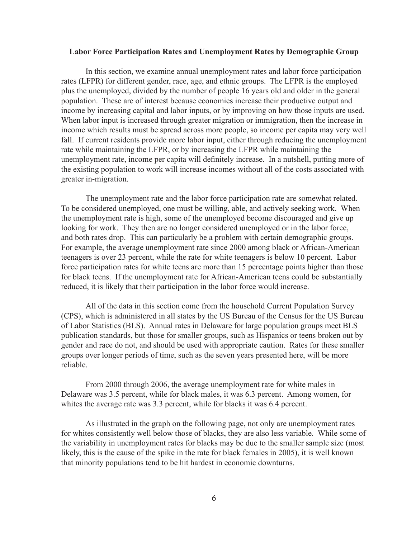#### **Labor Force Participation Rates and Unemployment Rates by Demographic Group**

In this section, we examine annual unemployment rates and labor force participation rates (LFPR) for different gender, race, age, and ethnic groups. The LFPR is the employed plus the unemployed, divided by the number of people 16 years old and older in the general population. These are of interest because economies increase their productive output and income by increasing capital and labor inputs, or by improving on how those inputs are used. When labor input is increased through greater migration or immigration, then the increase in income which results must be spread across more people, so income per capita may very well fall. If current residents provide more labor input, either through reducing the unemployment rate while maintaining the LFPR, or by increasing the LFPR while maintaining the unemployment rate, income per capita will definitely increase. In a nutshell, putting more of the existing population to work will increase incomes without all of the costs associated with greater in-migration.

The unemployment rate and the labor force participation rate are somewhat related. To be considered unemployed, one must be willing, able, and actively seeking work. When the unemployment rate is high, some of the unemployed become discouraged and give up looking for work. They then are no longer considered unemployed or in the labor force, and both rates drop. This can particularly be a problem with certain demographic groups. For example, the average unemployment rate since 2000 among black or African-American teenagers is over 23 percent, while the rate for white teenagers is below 10 percent. Labor force participation rates for white teens are more than 15 percentage points higher than those for black teens. If the unemployment rate for African-American teens could be substantially reduced, it is likely that their participation in the labor force would increase.

All of the data in this section come from the household Current Population Survey (CPS), which is administered in all states by the US Bureau of the Census for the US Bureau of Labor Statistics (BLS). Annual rates in Delaware for large population groups meet BLS publication standards, but those for smaller groups, such as Hispanics or teens broken out by gender and race do not, and should be used with appropriate caution. Rates for these smaller groups over longer periods of time, such as the seven years presented here, will be more reliable.

From 2000 through 2006, the average unemployment rate for white males in Delaware was 3.5 percent, while for black males, it was 6.3 percent. Among women, for whites the average rate was 3.3 percent, while for blacks it was 6.4 percent.

As illustrated in the graph on the following page, not only are unemployment rates for whites consistently well below those of blacks, they are also less variable. While some of the variability in unemployment rates for blacks may be due to the smaller sample size (most likely, this is the cause of the spike in the rate for black females in 2005), it is well known that minority populations tend to be hit hardest in economic downturns.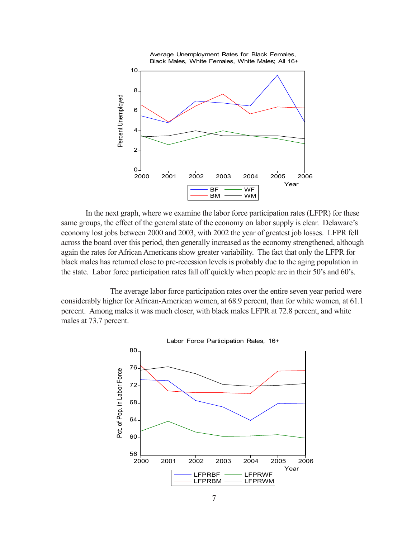

In the next graph, where we examine the labor force participation rates (LFPR) for these same groups, the effect of the general state of the economy on labor supply is clear. Delaware's economy lost jobs between 2000 and 2003, with 2002 the year of greatest job losses. LFPR fell across the board over this period, then generally increased as the economy strengthened, although again the rates for African Americans show greater variability. The fact that only the LFPR for black males has returned close to pre-recession levels is probably due to the aging population in the state. Labor force participation rates fall off quickly when people are in their 50's and 60's.

The average labor force participation rates over the entire seven year period were considerably higher for African-American women, at 68.9 percent, than for white women, at 61.1 percent. Among males it was much closer, with black males LFPR at 72.8 percent, and white males at 73.7 percent.

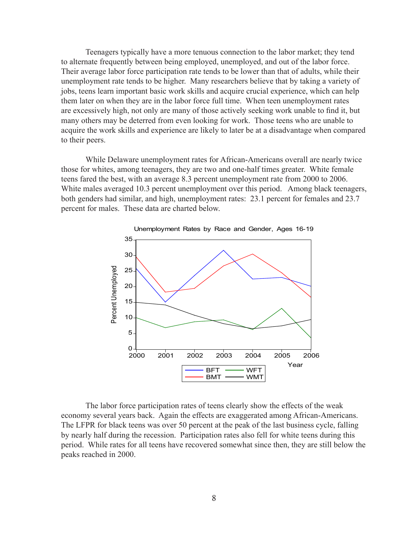Teenagers typically have a more tenuous connection to the labor market; they tend to alternate frequently between being employed, unemployed, and out of the labor force. Their average labor force participation rate tends to be lower than that of adults, while their unemployment rate tends to be higher. Many researchers believe that by taking a variety of jobs, teens learn important basic work skills and acquire crucial experience, which can help them later on when they are in the labor force full time. When teen unemployment rates are excessively high, not only are many of those actively seeking work unable to find it, but many others may be deterred from even looking for work. Those teens who are unable to acquire the work skills and experience are likely to later be at a disadvantage when compared to their peers.

While Delaware unemployment rates for African-Americans overall are nearly twice those for whites, among teenagers, they are two and one-half times greater. White female teens fared the best, with an average 8.3 percent unemployment rate from 2000 to 2006. White males averaged 10.3 percent unemployment over this period. Among black teenagers, both genders had similar, and high, unemployment rates: 23.1 percent for females and 23.7 percent for males. These data are charted below.



The labor force participation rates of teens clearly show the effects of the weak economy several years back. Again the effects are exaggerated among African-Americans. The LFPR for black teens was over 50 percent at the peak of the last business cycle, falling by nearly half during the recession. Participation rates also fell for white teens during this period. While rates for all teens have recovered somewhat since then, they are still below the peaks reached in 2000.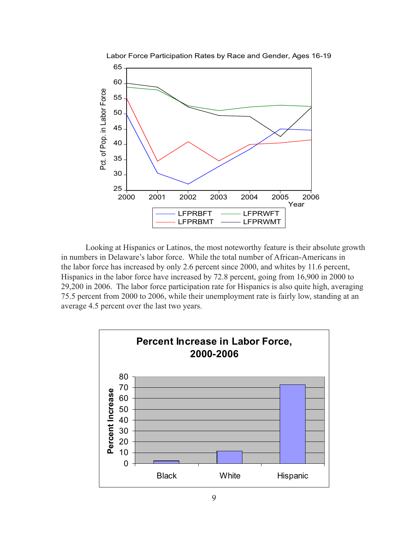

Looking at Hispanics or Latinos, the most noteworthy feature is their absolute growth in numbers in Delaware's labor force. While the total number of African-Americans in the labor force has increased by only 2.6 percent since 2000, and whites by 11.6 percent, Hispanics in the labor force have increased by 72.8 percent, going from 16,900 in 2000 to 29,200 in 2006. The labor force participation rate for Hispanics is also quite high, averaging 75.5 percent from 2000 to 2006, while their unemployment rate is fairly low, standing at an average 4.5 percent over the last two years.

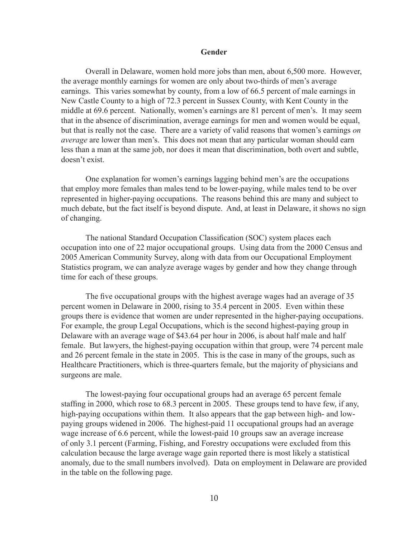#### **Gender**

Overall in Delaware, women hold more jobs than men, about 6,500 more. However, the average monthly earnings for women are only about two-thirds of men's average earnings. This varies somewhat by county, from a low of 66.5 percent of male earnings in New Castle County to a high of 72.3 percent in Sussex County, with Kent County in the middle at 69.6 percent. Nationally, women's earnings are 81 percent of men's. It may seem that in the absence of discrimination, average earnings for men and women would be equal, but that is really not the case. There are a variety of valid reasons that women's earnings *on average* are lower than men's. This does not mean that any particular woman should earn less than a man at the same job, nor does it mean that discrimination, both overt and subtle, doesn't exist.

One explanation for women's earnings lagging behind men's are the occupations that employ more females than males tend to be lower-paying, while males tend to be over represented in higher-paying occupations. The reasons behind this are many and subject to much debate, but the fact itself is beyond dispute. And, at least in Delaware, it shows no sign of changing.

The national Standard Occupation Classification (SOC) system places each occupation into one of 22 major occupational groups. Using data from the 2000 Census and 2005 American Community Survey, along with data from our Occupational Employment Statistics program, we can analyze average wages by gender and how they change through time for each of these groups.

The five occupational groups with the highest average wages had an average of 35 percent women in Delaware in 2000, rising to 35.4 percent in 2005. Even within these groups there is evidence that women are under represented in the higher-paying occupations. For example, the group Legal Occupations, which is the second highest-paying group in Delaware with an average wage of \$43.64 per hour in 2006, is about half male and half female. But lawyers, the highest-paying occupation within that group, were 74 percent male and 26 percent female in the state in 2005. This is the case in many of the groups, such as Healthcare Practitioners, which is three-quarters female, but the majority of physicians and surgeons are male.

The lowest-paying four occupational groups had an average 65 percent female staffing in 2000, which rose to 68.3 percent in 2005. These groups tend to have few, if any, high-paying occupations within them. It also appears that the gap between high- and lowpaying groups widened in 2006. The highest-paid 11 occupational groups had an average wage increase of 6.6 percent, while the lowest-paid 10 groups saw an average increase of only 3.1 percent (Farming, Fishing, and Forestry occupations were excluded from this calculation because the large average wage gain reported there is most likely a statistical anomaly, due to the small numbers involved). Data on employment in Delaware are provided in the table on the following page.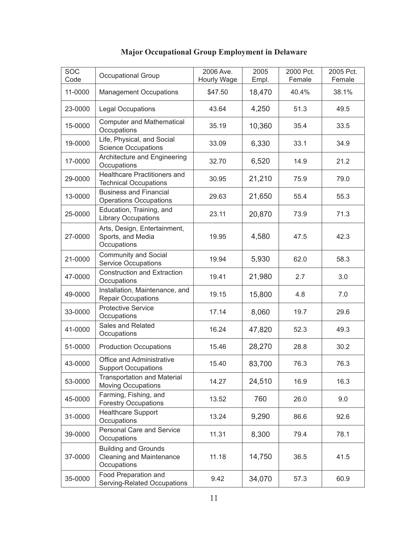| $\overline{SOC}$<br>Code | <b>Occupational Group</b>                                              | 2006 Ave.<br>Hourly Wage | 2005<br>Empl. | 2000 Pct.<br>Female | 2005 Pct.<br>Female |
|--------------------------|------------------------------------------------------------------------|--------------------------|---------------|---------------------|---------------------|
| 11-0000                  | <b>Management Occupations</b>                                          | \$47.50                  | 18,470        | 40.4%               | 38.1%               |
| 23-0000                  | <b>Legal Occupations</b>                                               | 43.64                    | 4,250         | 51.3                | 49.5                |
| 15-0000                  | <b>Computer and Mathematical</b><br>Occupations                        | 35.19                    | 10,360        | 35.4                | 33.5                |
| 19-0000                  | Life, Physical, and Social<br><b>Science Occupations</b>               | 33.09                    | 6,330         | 33.1                | 34.9                |
| 17-0000                  | Architecture and Engineering<br>Occupations                            | 32.70                    | 6,520         | 14.9                | 21.2                |
| 29-0000                  | Healthcare Practitioners and<br><b>Technical Occupations</b>           | 30.95                    | 21,210        | 75.9                | 79.0                |
| 13-0000                  | <b>Business and Financial</b><br><b>Operations Occupations</b>         | 29.63                    | 21,650        | 55.4                | 55.3                |
| 25-0000                  | Education, Training, and<br><b>Library Occupations</b>                 | 23.11                    | 20,870        | 73.9                | 71.3                |
| 27-0000                  | Arts, Design, Entertainment,<br>Sports, and Media<br>Occupations       | 19.95                    | 4,580         | 47.5                | 42.3                |
| 21-0000                  | Community and Social<br><b>Service Occupations</b>                     | 19.94                    | 5,930         | 62.0                | 58.3                |
| 47-0000                  | <b>Construction and Extraction</b><br>Occupations                      | 19.41                    | 21,980        | 2.7                 | 3.0                 |
| 49-0000                  | Installation, Maintenance, and<br><b>Repair Occupations</b>            | 19.15                    | 15,800        | 4.8                 | 7.0                 |
| 33-0000                  | <b>Protective Service</b><br>Occupations                               | 17.14                    | 8,060         | 19.7                | 29.6                |
| 41-0000                  | Sales and Related<br>Occupations                                       | 16.24                    | 47,820        | 52.3                | 49.3                |
| 51-0000                  | <b>Production Occupations</b>                                          | 15.46                    | 28,270        | 28.8                | 30.2                |
| 43-0000                  | Office and Administrative<br><b>Support Occupations</b>                | 15.40                    | 83,700        | 76.3                | 76.3                |
| 53-0000                  | <b>Transportation and Material</b><br><b>Moving Occupations</b>        | 14.27                    | 24,510        | 16.9                | 16.3                |
| 45-0000                  | Farming, Fishing, and<br><b>Forestry Occupations</b>                   | 13.52                    | 760           | 26.0                | 9.0                 |
| 31-0000                  | <b>Healthcare Support</b><br>Occupations                               | 13.24                    | 9,290         | 86.6                | 92.6                |
| 39-0000                  | Personal Care and Service<br>Occupations                               | 11.31                    | 8,300         | 79.4                | 78.1                |
| 37-0000                  | <b>Building and Grounds</b><br>Cleaning and Maintenance<br>Occupations | 11.18                    | 14,750        | 36.5                | 41.5                |
| 35-0000                  | Food Preparation and<br>Serving-Related Occupations                    | 9.42                     | 34,070        | 57.3                | 60.9                |

# **Major Occupational Group Employment in Delaware**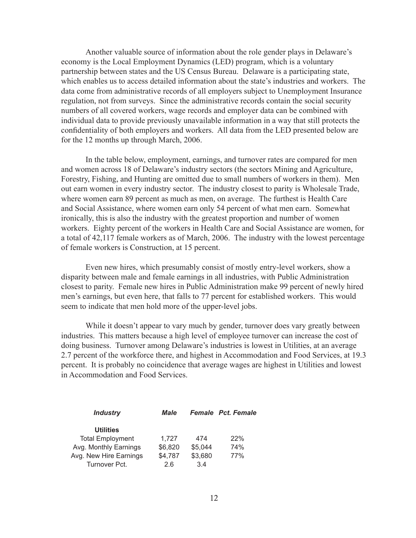Another valuable source of information about the role gender plays in Delaware's economy is the Local Employment Dynamics (LED) program, which is a voluntary partnership between states and the US Census Bureau. Delaware is a participating state, which enables us to access detailed information about the state's industries and workers. The data come from administrative records of all employers subject to Unemployment Insurance regulation, not from surveys. Since the administrative records contain the social security numbers of all covered workers, wage records and employer data can be combined with individual data to provide previously unavailable information in a way that still protects the confidentiality of both employers and workers. All data from the LED presented below are for the 12 months up through March, 2006.

In the table below, employment, earnings, and turnover rates are compared for men and women across 18 of Delaware's industry sectors (the sectors Mining and Agriculture, Forestry, Fishing, and Hunting are omitted due to small numbers of workers in them). Men out earn women in every industry sector. The industry closest to parity is Wholesale Trade, where women earn 89 percent as much as men, on average. The furthest is Health Care and Social Assistance, where women earn only 54 percent of what men earn. Somewhat ironically, this is also the industry with the greatest proportion and number of women workers. Eighty percent of the workers in Health Care and Social Assistance are women, for a total of 42,117 female workers as of March, 2006. The industry with the lowest percentage of female workers is Construction, at 15 percent.

Even new hires, which presumably consist of mostly entry-level workers, show a disparity between male and female earnings in all industries, with Public Administration closest to parity. Female new hires in Public Administration make 99 percent of newly hired men's earnings, but even here, that falls to 77 percent for established workers. This would seem to indicate that men hold more of the upper-level jobs.

While it doesn't appear to vary much by gender, turnover does vary greatly between industries. This matters because a high level of employee turnover can increase the cost of doing business. Turnover among Delaware's industries is lowest in Utilities, at an average 2.7 percent of the workforce there, and highest in Accommodation and Food Services, at 19.3 percent. It is probably no coincidence that average wages are highest in Utilities and lowest in Accommodation and Food Services.

| <b>Industry</b>         | Male    |         | <b>Female</b> Pct. Female |
|-------------------------|---------|---------|---------------------------|
| <b>Utilities</b>        |         |         |                           |
| <b>Total Employment</b> | 1.727   | 474     | 22%                       |
| Avg. Monthly Earnings   | \$6,820 | \$5,044 | 74%                       |
| Avg. New Hire Earnings  | \$4,787 | \$3,680 | 77%                       |
| Turnover Pct.           | 26      | 34      |                           |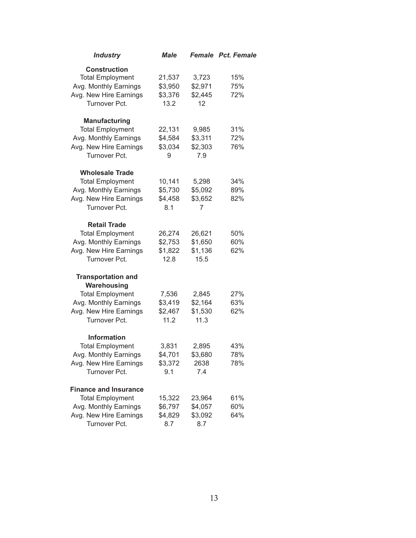| <b>Industry</b>                                                                                                                         | <b>Male</b>                          |                                      | <b>Female</b> Pct. Female |
|-----------------------------------------------------------------------------------------------------------------------------------------|--------------------------------------|--------------------------------------|---------------------------|
| <b>Construction</b><br><b>Total Employment</b><br>Avg. Monthly Earnings<br>Avg. New Hire Earnings                                       | 21,537<br>\$3,950<br>\$3,376         | 3,723<br>\$2,971<br>\$2,445          | 15%<br>75%<br>72%         |
| Turnover Pct.                                                                                                                           | 13.2                                 | 12                                   |                           |
| <b>Manufacturing</b><br><b>Total Employment</b><br>Avg. Monthly Earnings<br>Avg. New Hire Earnings<br>Turnover Pct.                     | 22,131<br>\$4,584<br>\$3,034<br>9    | 9,985<br>\$3,311<br>\$2,303<br>7.9   | 31%<br>72%<br>76%         |
| <b>Wholesale Trade</b><br><b>Total Employment</b><br>Avg. Monthly Earnings<br>Avg. New Hire Earnings<br>Turnover Pct.                   | 10,141<br>\$5,730<br>\$4,458<br>8.1  | 5,298<br>\$5,092<br>\$3,652<br>7     | 34%<br>89%<br>82%         |
| <b>Retail Trade</b><br><b>Total Employment</b><br>Avg. Monthly Earnings<br>Avg. New Hire Earnings<br>Turnover Pct.                      | 26,274<br>\$2,753<br>\$1,822<br>12.8 | 26,621<br>\$1,650<br>\$1,136<br>15.5 | 50%<br>60%<br>62%         |
| <b>Transportation and</b><br>Warehousing<br><b>Total Employment</b><br>Avg. Monthly Earnings<br>Avg. New Hire Earnings<br>Turnover Pct. | 7,536<br>\$3,419<br>\$2,467<br>11.2  | 2,845<br>\$2,164<br>\$1,530<br>11.3  | 27%<br>63%<br>62%         |
| <b>Information</b><br><b>Total Employment</b><br>Avg. Monthly Earnings<br>Avg. New Hire Earnings<br>Turnover Pct.                       | 3,831<br>\$4,701<br>\$3,372<br>9.1   | 2,895<br>\$3,680<br>2638<br>7.4      | 43%<br>78%<br>78%         |
| <b>Finance and Insurance</b><br><b>Total Employment</b><br>Avg. Monthly Earnings<br>Avg. New Hire Earnings<br>Turnover Pct.             | 15,322<br>\$6,797<br>\$4,829<br>8.7  | 23,964<br>\$4,057<br>\$3,092<br>8.7  | 61%<br>60%<br>64%         |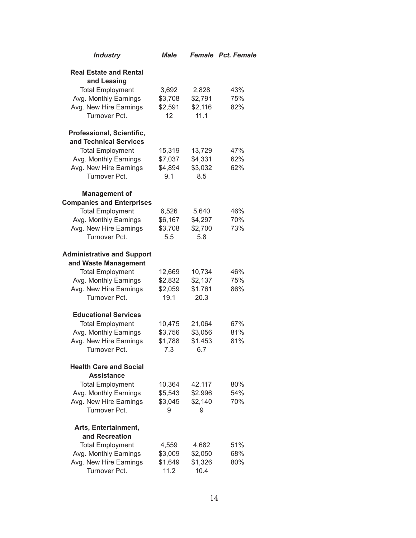| <b>Industry</b>                                                                                                                                                           | <b>Male</b>                               |                                             | <b>Female Pct. Female</b> |
|---------------------------------------------------------------------------------------------------------------------------------------------------------------------------|-------------------------------------------|---------------------------------------------|---------------------------|
| <b>Real Estate and Rental</b><br>and Leasing<br><b>Total Employment</b><br>Avg. Monthly Earnings<br>Avg. New Hire Earnings<br>Turnover Pct.                               | 3,692<br>\$3,708<br>\$2,591<br>12         | 2,828<br>\$2,791<br>\$2,116<br>11.1         | 43%<br>75%<br>82%         |
| Professional, Scientific,<br>and Technical Services<br><b>Total Employment</b><br>Avg. Monthly Earnings<br>Avg. New Hire Earnings                                         | 15,319<br>\$7,037<br>\$4,894              | 13,729<br>\$4,331<br>\$3,032                | 47%<br>62%<br>62%         |
| Turnover Pct.<br><b>Management of</b><br><b>Companies and Enterprises</b><br><b>Total Employment</b><br>Avg. Monthly Earnings<br>Avg. New Hire Earnings                   | 9.1<br>6,526<br>\$6,167<br>\$3,708<br>5.5 | 8.5<br>5,640<br>\$4,297<br>\$2,700          | 46%<br>70%<br>73%         |
| Turnover Pct.<br><b>Administrative and Support</b><br>and Waste Management<br><b>Total Employment</b><br>Avg. Monthly Earnings<br>Avg. New Hire Earnings<br>Turnover Pct. | 12,669<br>\$2,832<br>\$2,059<br>19.1      | 5.8<br>10,734<br>\$2,137<br>\$1,761<br>20.3 | 46%<br>75%<br>86%         |
| <b>Educational Services</b><br><b>Total Employment</b><br>Avg. Monthly Earnings<br>Avg. New Hire Earnings<br>Turnover Pct.                                                | 10,475<br>\$3,756<br>\$1,788<br>7.3       | 21,064<br>\$3,056<br>\$1,453<br>6.7         | 67%<br>81%<br>81%         |
| <b>Health Care and Social</b><br><b>Assistance</b><br><b>Total Employment</b><br>Avg. Monthly Earnings<br>Avg. New Hire Earnings<br>Turnover Pct.                         | 10,364<br>\$5,543<br>\$3,045<br>9         | 42,117<br>\$2,996<br>\$2,140<br>9           | 80%<br>54%<br>70%         |
| Arts, Entertainment,<br>and Recreation<br><b>Total Employment</b><br>Avg. Monthly Earnings<br>Avg. New Hire Earnings<br>Turnover Pct.                                     | 4,559<br>\$3,009<br>\$1,649<br>11.2       | 4,682<br>\$2,050<br>\$1,326<br>10.4         | 51%<br>68%<br>80%         |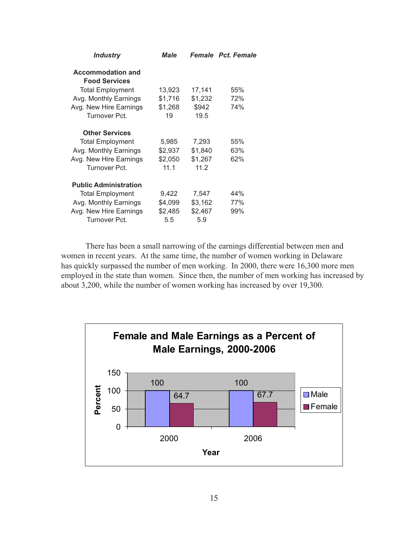| <b>Industry</b>              | <b>Male</b> |         | <b>Female</b> Pct. Female |
|------------------------------|-------------|---------|---------------------------|
| <b>Accommodation and</b>     |             |         |                           |
| <b>Food Services</b>         |             |         |                           |
| <b>Total Employment</b>      | 13,923      | 17,141  | 55%                       |
| Avg. Monthly Earnings        | \$1,716     | \$1,232 | 72%                       |
| Avg. New Hire Earnings       | \$1,268     | \$942   | 74%                       |
| Turnover Pct.                | 19          | 19.5    |                           |
| <b>Other Services</b>        |             |         |                           |
| <b>Total Employment</b>      | 5,985       | 7,293   | 55%                       |
| Avg. Monthly Earnings        | \$2,937     | \$1,840 | 63%                       |
| Avg. New Hire Earnings       | \$2,050     | \$1,267 | 62%                       |
| Turnover Pct.                | 11.1        | 11.2    |                           |
| <b>Public Administration</b> |             |         |                           |
| <b>Total Employment</b>      | 9,422       | 7,547   | 44%                       |
| Avg. Monthly Earnings        | \$4,099     | \$3,162 | 77%                       |
| Avg. New Hire Earnings       | \$2,485     | \$2,467 | 99%                       |
| Turnover Pct.                | 5.5         | 5.9     |                           |
|                              |             |         |                           |

There has been a small narrowing of the earnings differential between men and women in recent years. At the same time, the number of women working in Delaware has quickly surpassed the number of men working. In 2000, there were 16,300 more men employed in the state than women. Since then, the number of men working has increased by about 3,200, while the number of women working has increased by over 19,300.

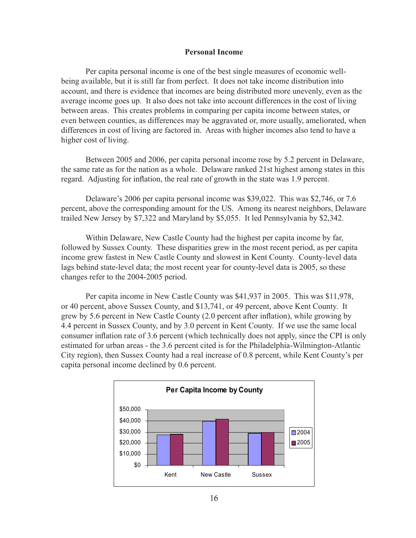#### **Personal Income**

Per capita personal income is one of the best single measures of economic wellbeing available, but it is still far from perfect. It does not take income distribution into account, and there is evidence that incomes are being distributed more unevenly, even as the average income goes up. It also does not take into account differences in the cost of living between areas. This creates problems in comparing per capita income between states, or even between counties, as differences may be aggravated or, more usually, ameliorated, when differences in cost of living are factored in. Areas with higher incomes also tend to have a higher cost of living.

Between 2005 and 2006, per capita personal income rose by 5.2 percent in Delaware, the same rate as for the nation as a whole. Delaware ranked 21st highest among states in this regard. Adjusting for inflation, the real rate of growth in the state was 1.9 percent.

Delaware's 2006 per capita personal income was \$39,022. This was \$2,746, or 7.6 percent, above the corresponding amount for the US. Among its nearest neighbors, Delaware trailed New Jersey by \$7,322 and Maryland by \$5,055. It led Pennsylvania by \$2,342.

Within Delaware, New Castle County had the highest per capita income by far, followed by Sussex County. These disparities grew in the most recent period, as per capita income grew fastest in New Castle County and slowest in Kent County. County-level data lags behind state-level data; the most recent year for county-level data is 2005, so these changes refer to the 2004-2005 period.

Per capita income in New Castle County was \$41,937 in 2005. This was \$11,978, or 40 percent, above Sussex County, and \$13,741, or 49 percent, above Kent County. It grew by 5.6 percent in New Castle County (2.0 percent after inflation), while growing by 4.4 percent in Sussex County, and by 3.0 percent in Kent County. If we use the same local consumer inflation rate of 3.6 percent (which technically does not apply, since the CPI is only estimated for urban areas - the 3.6 percent cited is for the Philadelphia-Wilmington-Atlantic City region), then Sussex County had a real increase of 0.8 percent, while Kent County's per capita personal income declined by 0.6 percent.

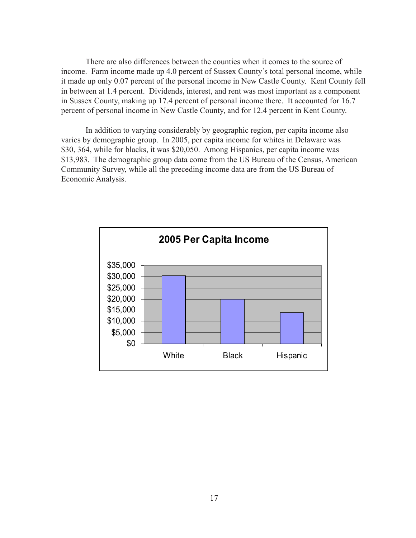There are also differences between the counties when it comes to the source of income. Farm income made up 4.0 percent of Sussex County's total personal income, while it made up only 0.07 percent of the personal income in New Castle County. Kent County fell in between at 1.4 percent. Dividends, interest, and rent was most important as a component in Sussex County, making up 17.4 percent of personal income there. It accounted for 16.7 percent of personal income in New Castle County, and for 12.4 percent in Kent County.

In addition to varying considerably by geographic region, per capita income also varies by demographic group. In 2005, per capita income for whites in Delaware was \$30, 364, while for blacks, it was \$20,050. Among Hispanics, per capita income was \$13,983. The demographic group data come from the US Bureau of the Census, American Community Survey, while all the preceding income data are from the US Bureau of Economic Analysis.

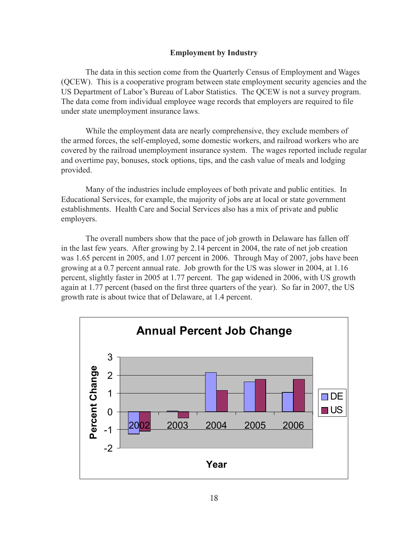#### **Employment by Industry**

The data in this section come from the Quarterly Census of Employment and Wages (QCEW). This is a cooperative program between state employment security agencies and the US Department of Labor's Bureau of Labor Statistics. The QCEW is not a survey program. The data come from individual employee wage records that employers are required to file under state unemployment insurance laws.

While the employment data are nearly comprehensive, they exclude members of the armed forces, the self-employed, some domestic workers, and railroad workers who are covered by the railroad unemployment insurance system. The wages reported include regular and overtime pay, bonuses, stock options, tips, and the cash value of meals and lodging provided.

Many of the industries include employees of both private and public entities. In Educational Services, for example, the majority of jobs are at local or state government establishments. Health Care and Social Services also has a mix of private and public employers.

The overall numbers show that the pace of job growth in Delaware has fallen off in the last few years. After growing by 2.14 percent in 2004, the rate of net job creation was 1.65 percent in 2005, and 1.07 percent in 2006. Through May of 2007, jobs have been growing at a 0.7 percent annual rate. Job growth for the US was slower in 2004, at 1.16 percent, slightly faster in 2005 at 1.77 percent. The gap widened in 2006, with US growth again at 1.77 percent (based on the first three quarters of the year). So far in 2007, the US growth rate is about twice that of Delaware, at 1.4 percent.

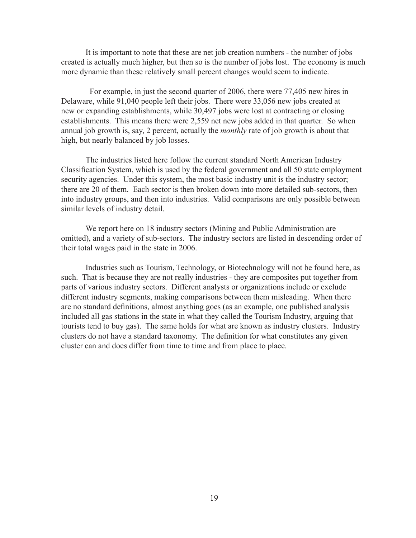It is important to note that these are net job creation numbers - the number of jobs created is actually much higher, but then so is the number of jobs lost. The economy is much more dynamic than these relatively small percent changes would seem to indicate.

 For example, in just the second quarter of 2006, there were 77,405 new hires in Delaware, while 91,040 people left their jobs. There were 33,056 new jobs created at new or expanding establishments, while 30,497 jobs were lost at contracting or closing establishments. This means there were 2,559 net new jobs added in that quarter. So when annual job growth is, say, 2 percent, actually the *monthly* rate of job growth is about that high, but nearly balanced by job losses.

The industries listed here follow the current standard North American Industry Classification System, which is used by the federal government and all 50 state employment security agencies. Under this system, the most basic industry unit is the industry sector; there are 20 of them. Each sector is then broken down into more detailed sub-sectors, then into industry groups, and then into industries. Valid comparisons are only possible between similar levels of industry detail.

We report here on 18 industry sectors (Mining and Public Administration are omitted), and a variety of sub-sectors. The industry sectors are listed in descending order of their total wages paid in the state in 2006.

Industries such as Tourism, Technology, or Biotechnology will not be found here, as such. That is because they are not really industries - they are composites put together from parts of various industry sectors. Different analysts or organizations include or exclude different industry segments, making comparisons between them misleading. When there are no standard definitions, almost anything goes (as an example, one published analysis included all gas stations in the state in what they called the Tourism Industry, arguing that tourists tend to buy gas). The same holds for what are known as industry clusters. Industry clusters do not have a standard taxonomy. The definition for what constitutes any given cluster can and does differ from time to time and from place to place.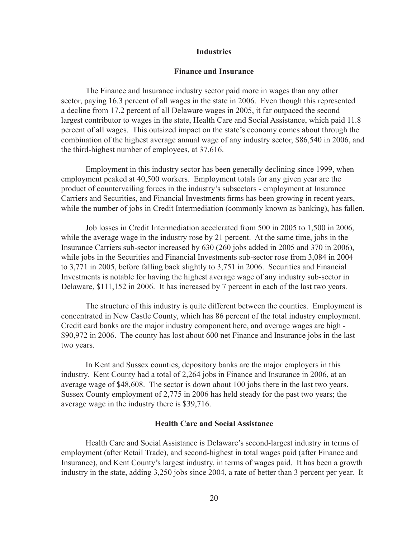#### **Industries**

#### **Finance and Insurance**

The Finance and Insurance industry sector paid more in wages than any other sector, paying 16.3 percent of all wages in the state in 2006. Even though this represented a decline from 17.2 percent of all Delaware wages in 2005, it far outpaced the second largest contributor to wages in the state, Health Care and Social Assistance, which paid 11.8 percent of all wages. This outsized impact on the state's economy comes about through the combination of the highest average annual wage of any industry sector, \$86,540 in 2006, and the third-highest number of employees, at 37,616.

Employment in this industry sector has been generally declining since 1999, when employment peaked at 40,500 workers. Employment totals for any given year are the product of countervailing forces in the industry's subsectors - employment at Insurance Carriers and Securities, and Financial Investments firms has been growing in recent years, while the number of jobs in Credit Intermediation (commonly known as banking), has fallen.

Job losses in Credit Intermediation accelerated from 500 in 2005 to 1,500 in 2006, while the average wage in the industry rose by 21 percent. At the same time, jobs in the Insurance Carriers sub-sector increased by 630 (260 jobs added in 2005 and 370 in 2006), while jobs in the Securities and Financial Investments sub-sector rose from 3,084 in 2004 to 3,771 in 2005, before falling back slightly to 3,751 in 2006. Securities and Financial Investments is notable for having the highest average wage of any industry sub-sector in Delaware, \$111,152 in 2006. It has increased by 7 percent in each of the last two years.

The structure of this industry is quite different between the counties. Employment is concentrated in New Castle County, which has 86 percent of the total industry employment. Credit card banks are the major industry component here, and average wages are high - \$90,972 in 2006. The county has lost about 600 net Finance and Insurance jobs in the last two years.

In Kent and Sussex counties, depository banks are the major employers in this industry. Kent County had a total of 2,264 jobs in Finance and Insurance in 2006, at an average wage of \$48,608. The sector is down about 100 jobs there in the last two years. Sussex County employment of 2,775 in 2006 has held steady for the past two years; the average wage in the industry there is \$39,716.

#### **Health Care and Social Assistance**

Health Care and Social Assistance is Delaware's second-largest industry in terms of employment (after Retail Trade), and second-highest in total wages paid (after Finance and Insurance), and Kent County's largest industry, in terms of wages paid. It has been a growth industry in the state, adding 3,250 jobs since 2004, a rate of better than 3 percent per year. It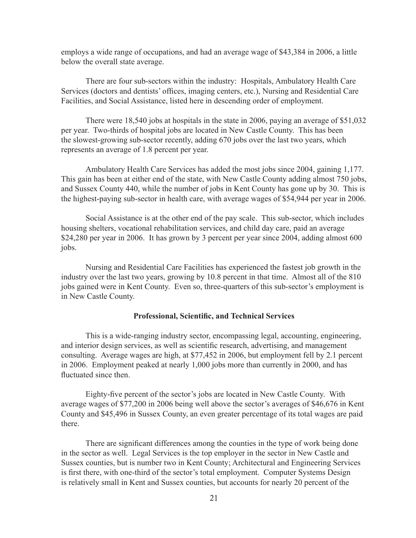employs a wide range of occupations, and had an average wage of \$43,384 in 2006, a little below the overall state average.

There are four sub-sectors within the industry: Hospitals, Ambulatory Health Care Services (doctors and dentists' offices, imaging centers, etc.), Nursing and Residential Care Facilities, and Social Assistance, listed here in descending order of employment.

There were 18,540 jobs at hospitals in the state in 2006, paying an average of \$51,032 per year. Two-thirds of hospital jobs are located in New Castle County. This has been the slowest-growing sub-sector recently, adding 670 jobs over the last two years, which represents an average of 1.8 percent per year.

Ambulatory Health Care Services has added the most jobs since 2004, gaining 1,177. This gain has been at either end of the state, with New Castle County adding almost 750 jobs, and Sussex County 440, while the number of jobs in Kent County has gone up by 30. This is the highest-paying sub-sector in health care, with average wages of \$54,944 per year in 2006.

Social Assistance is at the other end of the pay scale. This sub-sector, which includes housing shelters, vocational rehabilitation services, and child day care, paid an average \$24,280 per year in 2006. It has grown by 3 percent per year since 2004, adding almost 600 jobs.

Nursing and Residential Care Facilities has experienced the fastest job growth in the industry over the last two years, growing by 10.8 percent in that time. Almost all of the 810 jobs gained were in Kent County. Even so, three-quarters of this sub-sector's employment is in New Castle County.

#### **Professional, Scientific, and Technical Services**

This is a wide-ranging industry sector, encompassing legal, accounting, engineering, and interior design services, as well as scientific research, advertising, and management consulting. Average wages are high, at \$77,452 in 2006, but employment fell by 2.1 percent in 2006. Employment peaked at nearly 1,000 jobs more than currently in 2000, and has fluctuated since then.

Eighty-five percent of the sector's jobs are located in New Castle County. With average wages of \$77,200 in 2006 being well above the sector's averages of \$46,676 in Kent County and \$45,496 in Sussex County, an even greater percentage of its total wages are paid there.

There are significant differences among the counties in the type of work being done in the sector as well. Legal Services is the top employer in the sector in New Castle and Sussex counties, but is number two in Kent County; Architectural and Engineering Services is first there, with one-third of the sector's total employment. Computer Systems Design is relatively small in Kent and Sussex counties, but accounts for nearly 20 percent of the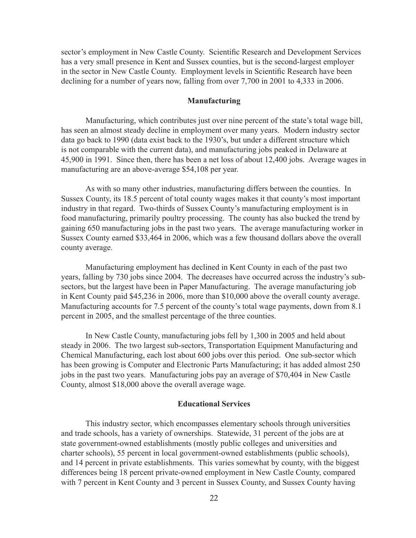sector's employment in New Castle County. Scientific Research and Development Services has a very small presence in Kent and Sussex counties, but is the second-largest employer in the sector in New Castle County. Employment levels in Scientific Research have been declining for a number of years now, falling from over 7,700 in 2001 to 4,333 in 2006.

#### **Manufacturing**

Manufacturing, which contributes just over nine percent of the state's total wage bill, has seen an almost steady decline in employment over many years. Modern industry sector data go back to 1990 (data exist back to the 1930's, but under a different structure which is not comparable with the current data), and manufacturing jobs peaked in Delaware at 45,900 in 1991. Since then, there has been a net loss of about 12,400 jobs. Average wages in manufacturing are an above-average \$54,108 per year.

As with so many other industries, manufacturing differs between the counties. In Sussex County, its 18.5 percent of total county wages makes it that county's most important industry in that regard. Two-thirds of Sussex County's manufacturing employment is in food manufacturing, primarily poultry processing. The county has also bucked the trend by gaining 650 manufacturing jobs in the past two years. The average manufacturing worker in Sussex County earned \$33,464 in 2006, which was a few thousand dollars above the overall county average.

Manufacturing employment has declined in Kent County in each of the past two years, falling by 730 jobs since 2004. The decreases have occurred across the industry's subsectors, but the largest have been in Paper Manufacturing. The average manufacturing job in Kent County paid \$45,236 in 2006, more than \$10,000 above the overall county average. Manufacturing accounts for 7.5 percent of the county's total wage payments, down from 8.1 percent in 2005, and the smallest percentage of the three counties.

In New Castle County, manufacturing jobs fell by 1,300 in 2005 and held about steady in 2006. The two largest sub-sectors, Transportation Equipment Manufacturing and Chemical Manufacturing, each lost about 600 jobs over this period. One sub-sector which has been growing is Computer and Electronic Parts Manufacturing; it has added almost 250 jobs in the past two years. Manufacturing jobs pay an average of \$70,404 in New Castle County, almost \$18,000 above the overall average wage.

#### **Educational Services**

This industry sector, which encompasses elementary schools through universities and trade schools, has a variety of ownerships. Statewide, 31 percent of the jobs are at state government-owned establishments (mostly public colleges and universities and charter schools), 55 percent in local government-owned establishments (public schools), and 14 percent in private establishments. This varies somewhat by county, with the biggest differences being 18 percent private-owned employment in New Castle County, compared with 7 percent in Kent County and 3 percent in Sussex County, and Sussex County having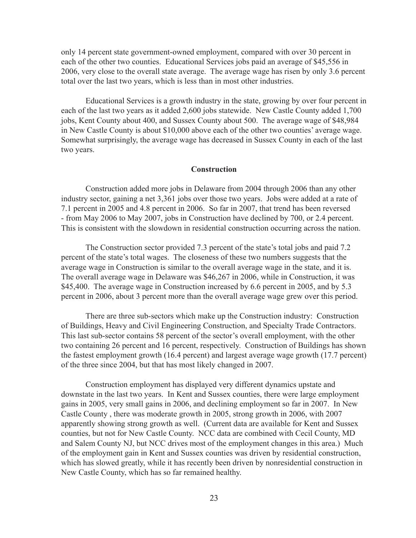only 14 percent state government-owned employment, compared with over 30 percent in each of the other two counties. Educational Services jobs paid an average of \$45,556 in 2006, very close to the overall state average. The average wage has risen by only 3.6 percent total over the last two years, which is less than in most other industries.

Educational Services is a growth industry in the state, growing by over four percent in each of the last two years as it added 2,600 jobs statewide. New Castle County added 1,700 jobs, Kent County about 400, and Sussex County about 500. The average wage of \$48,984 in New Castle County is about \$10,000 above each of the other two counties' average wage. Somewhat surprisingly, the average wage has decreased in Sussex County in each of the last two years.

#### **Construction**

Construction added more jobs in Delaware from 2004 through 2006 than any other industry sector, gaining a net 3,361 jobs over those two years. Jobs were added at a rate of 7.1 percent in 2005 and 4.8 percent in 2006. So far in 2007, that trend has been reversed - from May 2006 to May 2007, jobs in Construction have declined by 700, or 2.4 percent. This is consistent with the slowdown in residential construction occurring across the nation.

The Construction sector provided 7.3 percent of the state's total jobs and paid 7.2 percent of the state's total wages. The closeness of these two numbers suggests that the average wage in Construction is similar to the overall average wage in the state, and it is. The overall average wage in Delaware was \$46,267 in 2006, while in Construction, it was \$45,400. The average wage in Construction increased by 6.6 percent in 2005, and by 5.3 percent in 2006, about 3 percent more than the overall average wage grew over this period.

There are three sub-sectors which make up the Construction industry: Construction of Buildings, Heavy and Civil Engineering Construction, and Specialty Trade Contractors. This last sub-sector contains 58 percent of the sector's overall employment, with the other two containing 26 percent and 16 percent, respectively. Construction of Buildings has shown the fastest employment growth (16.4 percent) and largest average wage growth (17.7 percent) of the three since 2004, but that has most likely changed in 2007.

Construction employment has displayed very different dynamics upstate and downstate in the last two years. In Kent and Sussex counties, there were large employment gains in 2005, very small gains in 2006, and declining employment so far in 2007. In New Castle County , there was moderate growth in 2005, strong growth in 2006, with 2007 apparently showing strong growth as well. (Current data are available for Kent and Sussex counties, but not for New Castle County. NCC data are combined with Cecil County, MD and Salem County NJ, but NCC drives most of the employment changes in this area.) Much of the employment gain in Kent and Sussex counties was driven by residential construction, which has slowed greatly, while it has recently been driven by nonresidential construction in New Castle County, which has so far remained healthy.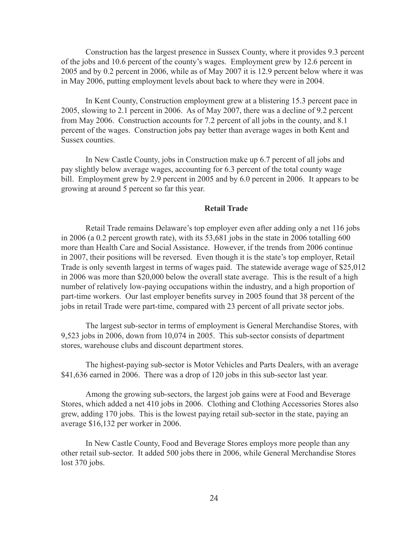Construction has the largest presence in Sussex County, where it provides 9.3 percent of the jobs and 10.6 percent of the county's wages. Employment grew by 12.6 percent in 2005 and by 0.2 percent in 2006, while as of May 2007 it is 12.9 percent below where it was in May 2006, putting employment levels about back to where they were in 2004.

In Kent County, Construction employment grew at a blistering 15.3 percent pace in 2005, slowing to 2.1 percent in 2006. As of May 2007, there was a decline of 9.2 percent from May 2006. Construction accounts for 7.2 percent of all jobs in the county, and 8.1 percent of the wages. Construction jobs pay better than average wages in both Kent and Sussex counties.

In New Castle County, jobs in Construction make up 6.7 percent of all jobs and pay slightly below average wages, accounting for 6.3 percent of the total county wage bill. Employment grew by 2.9 percent in 2005 and by 6.0 percent in 2006. It appears to be growing at around 5 percent so far this year.

#### **Retail Trade**

Retail Trade remains Delaware's top employer even after adding only a net 116 jobs in 2006 (a 0.2 percent growth rate), with its 53,681 jobs in the state in 2006 totalling 600 more than Health Care and Social Assistance. However, if the trends from 2006 continue in 2007, their positions will be reversed. Even though it is the state's top employer, Retail Trade is only seventh largest in terms of wages paid. The statewide average wage of \$25,012 in 2006 was more than \$20,000 below the overall state average. This is the result of a high number of relatively low-paying occupations within the industry, and a high proportion of part-time workers. Our last employer benefits survey in 2005 found that 38 percent of the jobs in retail Trade were part-time, compared with 23 percent of all private sector jobs.

The largest sub-sector in terms of employment is General Merchandise Stores, with 9,523 jobs in 2006, down from 10,074 in 2005. This sub-sector consists of department stores, warehouse clubs and discount department stores.

The highest-paying sub-sector is Motor Vehicles and Parts Dealers, with an average \$41,636 earned in 2006. There was a drop of 120 jobs in this sub-sector last year.

Among the growing sub-sectors, the largest job gains were at Food and Beverage Stores, which added a net 410 jobs in 2006. Clothing and Clothing Accessories Stores also grew, adding 170 jobs. This is the lowest paying retail sub-sector in the state, paying an average \$16,132 per worker in 2006.

In New Castle County, Food and Beverage Stores employs more people than any other retail sub-sector. It added 500 jobs there in 2006, while General Merchandise Stores lost 370 jobs.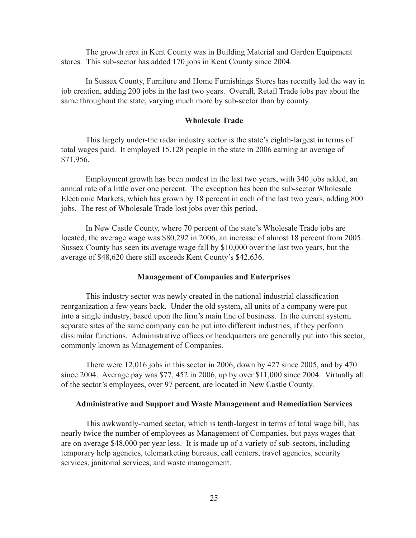The growth area in Kent County was in Building Material and Garden Equipment stores. This sub-sector has added 170 jobs in Kent County since 2004.

In Sussex County, Furniture and Home Furnishings Stores has recently led the way in job creation, adding 200 jobs in the last two years. Overall, Retail Trade jobs pay about the same throughout the state, varying much more by sub-sector than by county.

#### **Wholesale Trade**

This largely under-the radar industry sector is the state's eighth-largest in terms of total wages paid. It employed 15,128 people in the state in 2006 earning an average of \$71,956.

Employment growth has been modest in the last two years, with 340 jobs added, an annual rate of a little over one percent. The exception has been the sub-sector Wholesale Electronic Markets, which has grown by 18 percent in each of the last two years, adding 800 jobs. The rest of Wholesale Trade lost jobs over this period.

In New Castle County, where 70 percent of the state's Wholesale Trade jobs are located, the average wage was \$80,292 in 2006, an increase of almost 18 percent from 2005. Sussex County has seen its average wage fall by \$10,000 over the last two years, but the average of \$48,620 there still exceeds Kent County's \$42,636.

#### **Management of Companies and Enterprises**

This industry sector was newly created in the national industrial classification reorganization a few years back. Under the old system, all units of a company were put into a single industry, based upon the firm's main line of business. In the current system, separate sites of the same company can be put into different industries, if they perform dissimilar functions. Administrative offices or headquarters are generally put into this sector, commonly known as Management of Companies.

There were 12,016 jobs in this sector in 2006, down by 427 since 2005, and by 470 since 2004. Average pay was \$77, 452 in 2006, up by over \$11,000 since 2004. Virtually all of the sector's employees, over 97 percent, are located in New Castle County.

#### **Administrative and Support and Waste Management and Remediation Services**

This awkwardly-named sector, which is tenth-largest in terms of total wage bill, has nearly twice the number of employees as Management of Companies, but pays wages that are on average \$48,000 per year less. It is made up of a variety of sub-sectors, including temporary help agencies, telemarketing bureaus, call centers, travel agencies, security services, janitorial services, and waste management.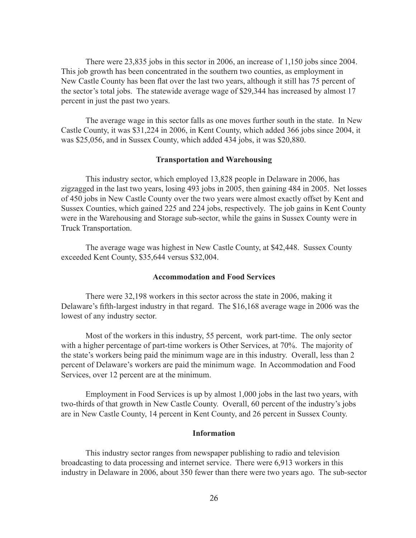There were 23,835 jobs in this sector in 2006, an increase of 1,150 jobs since 2004. This job growth has been concentrated in the southern two counties, as employment in New Castle County has been flat over the last two years, although it still has 75 percent of the sector's total jobs. The statewide average wage of \$29,344 has increased by almost 17 percent in just the past two years.

The average wage in this sector falls as one moves further south in the state. In New Castle County, it was \$31,224 in 2006, in Kent County, which added 366 jobs since 2004, it was \$25,056, and in Sussex County, which added 434 jobs, it was \$20,880.

#### **Transportation and Warehousing**

This industry sector, which employed 13,828 people in Delaware in 2006, has zigzagged in the last two years, losing 493 jobs in 2005, then gaining 484 in 2005. Net losses of 450 jobs in New Castle County over the two years were almost exactly offset by Kent and Sussex Counties, which gained 225 and 224 jobs, respectively. The job gains in Kent County were in the Warehousing and Storage sub-sector, while the gains in Sussex County were in Truck Transportation.

The average wage was highest in New Castle County, at \$42,448. Sussex County exceeded Kent County, \$35,644 versus \$32,004.

#### **Accommodation and Food Services**

There were 32,198 workers in this sector across the state in 2006, making it Delaware's fifth-largest industry in that regard. The \$16,168 average wage in 2006 was the lowest of any industry sector.

Most of the workers in this industry, 55 percent, work part-time. The only sector with a higher percentage of part-time workers is Other Services, at 70%. The majority of the state's workers being paid the minimum wage are in this industry. Overall, less than 2 percent of Delaware's workers are paid the minimum wage. In Accommodation and Food Services, over 12 percent are at the minimum.

Employment in Food Services is up by almost 1,000 jobs in the last two years, with two-thirds of that growth in New Castle County. Overall, 60 percent of the industry's jobs are in New Castle County, 14 percent in Kent County, and 26 percent in Sussex County.

#### **Information**

This industry sector ranges from newspaper publishing to radio and television broadcasting to data processing and internet service. There were 6,913 workers in this industry in Delaware in 2006, about 350 fewer than there were two years ago. The sub-sector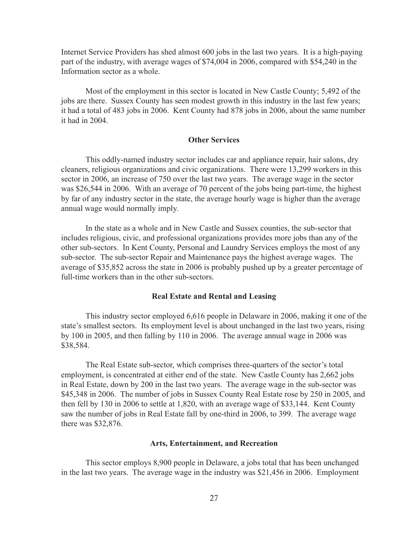Internet Service Providers has shed almost 600 jobs in the last two years. It is a high-paying part of the industry, with average wages of \$74,004 in 2006, compared with \$54,240 in the Information sector as a whole.

Most of the employment in this sector is located in New Castle County; 5,492 of the jobs are there. Sussex County has seen modest growth in this industry in the last few years; it had a total of 483 jobs in 2006. Kent County had 878 jobs in 2006, about the same number it had in 2004.

#### **Other Services**

This oddly-named industry sector includes car and appliance repair, hair salons, dry cleaners, religious organizations and civic organizations. There were 13,299 workers in this sector in 2006, an increase of 750 over the last two years. The average wage in the sector was \$26,544 in 2006. With an average of 70 percent of the jobs being part-time, the highest by far of any industry sector in the state, the average hourly wage is higher than the average annual wage would normally imply.

In the state as a whole and in New Castle and Sussex counties, the sub-sector that includes religious, civic, and professional organizations provides more jobs than any of the other sub-sectors. In Kent County, Personal and Laundry Services employs the most of any sub-sector. The sub-sector Repair and Maintenance pays the highest average wages. The average of \$35,852 across the state in 2006 is probably pushed up by a greater percentage of full-time workers than in the other sub-sectors.

#### **Real Estate and Rental and Leasing**

This industry sector employed 6,616 people in Delaware in 2006, making it one of the state's smallest sectors. Its employment level is about unchanged in the last two years, rising by 100 in 2005, and then falling by 110 in 2006. The average annual wage in 2006 was \$38,584.

The Real Estate sub-sector, which comprises three-quarters of the sector's total employment, is concentrated at either end of the state. New Castle County has 2,662 jobs in Real Estate, down by 200 in the last two years. The average wage in the sub-sector was \$45,348 in 2006. The number of jobs in Sussex County Real Estate rose by 250 in 2005, and then fell by 130 in 2006 to settle at 1,820, with an average wage of \$33,144. Kent County saw the number of jobs in Real Estate fall by one-third in 2006, to 399. The average wage there was \$32,876.

#### **Arts, Entertainment, and Recreation**

This sector employs 8,900 people in Delaware, a jobs total that has been unchanged in the last two years. The average wage in the industry was \$21,456 in 2006. Employment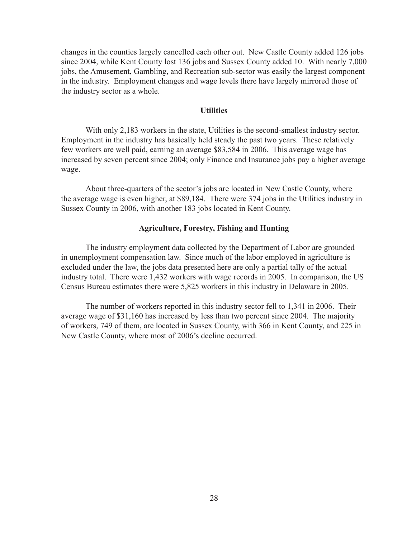changes in the counties largely cancelled each other out. New Castle County added 126 jobs since 2004, while Kent County lost 136 jobs and Sussex County added 10. With nearly 7,000 jobs, the Amusement, Gambling, and Recreation sub-sector was easily the largest component in the industry. Employment changes and wage levels there have largely mirrored those of the industry sector as a whole.

#### **Utilities**

With only 2,183 workers in the state, Utilities is the second-smallest industry sector. Employment in the industry has basically held steady the past two years. These relatively few workers are well paid, earning an average \$83,584 in 2006. This average wage has increased by seven percent since 2004; only Finance and Insurance jobs pay a higher average wage.

About three-quarters of the sector's jobs are located in New Castle County, where the average wage is even higher, at \$89,184. There were 374 jobs in the Utilities industry in Sussex County in 2006, with another 183 jobs located in Kent County.

#### **Agriculture, Forestry, Fishing and Hunting**

The industry employment data collected by the Department of Labor are grounded in unemployment compensation law. Since much of the labor employed in agriculture is excluded under the law, the jobs data presented here are only a partial tally of the actual industry total. There were 1,432 workers with wage records in 2005. In comparison, the US Census Bureau estimates there were 5,825 workers in this industry in Delaware in 2005.

The number of workers reported in this industry sector fell to 1,341 in 2006. Their average wage of \$31,160 has increased by less than two percent since 2004. The majority of workers, 749 of them, are located in Sussex County, with 366 in Kent County, and 225 in New Castle County, where most of 2006's decline occurred.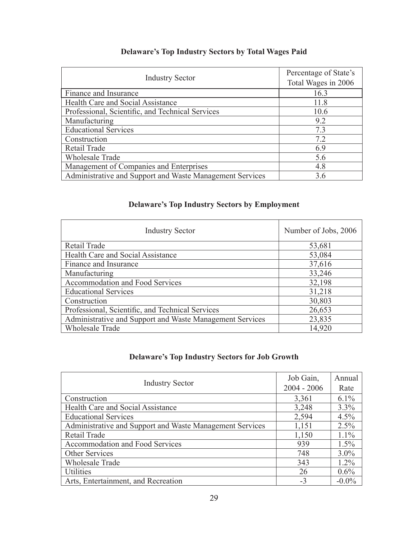### **Delaware's Top Industry Sectors by Total Wages Paid**

| <b>Industry Sector</b>                                   | Percentage of State's<br>Total Wages in 2006 |
|----------------------------------------------------------|----------------------------------------------|
| Finance and Insurance                                    | 16.3                                         |
| Health Care and Social Assistance                        | 11.8                                         |
| Professional, Scientific, and Technical Services         | 10.6                                         |
| Manufacturing                                            | 9.2                                          |
| <b>Educational Services</b>                              | 7.3                                          |
| Construction                                             | 7.2                                          |
| Retail Trade                                             | 6.9                                          |
| Wholesale Trade                                          | 5.6                                          |
| Management of Companies and Enterprises                  | 4.8                                          |
| Administrative and Support and Waste Management Services | 3.6                                          |

### **Delaware's Top Industry Sectors by Employment**

| <b>Industry Sector</b>                                   | Number of Jobs, 2006 |
|----------------------------------------------------------|----------------------|
| Retail Trade                                             | 53,681               |
| Health Care and Social Assistance                        | 53,084               |
| Finance and Insurance                                    | 37,616               |
| Manufacturing                                            | 33,246               |
| Accommodation and Food Services                          | 32,198               |
| <b>Educational Services</b>                              | 31,218               |
| Construction                                             | 30,803               |
| Professional, Scientific, and Technical Services         | 26,653               |
| Administrative and Support and Waste Management Services | 23,835               |
| <b>Wholesale Trade</b>                                   | 14,920               |

### **Delaware's Top Industry Sectors for Job Growth**

|                                                          | Job Gain,     | Annual   |
|----------------------------------------------------------|---------------|----------|
| <b>Industry Sector</b>                                   | $2004 - 2006$ | Rate     |
| Construction                                             | 3,361         | $6.1\%$  |
| Health Care and Social Assistance                        | 3,248         | 3.3%     |
| <b>Educational Services</b>                              | 2,594         | 4.5%     |
| Administrative and Support and Waste Management Services | 1,151         | 2.5%     |
| Retail Trade                                             | 1,150         | $1.1\%$  |
| Accommodation and Food Services                          | 939           | 1.5%     |
| Other Services                                           | 748           | $3.0\%$  |
| <b>Wholesale Trade</b>                                   | 343           | $1.2\%$  |
| <b>Utilities</b>                                         | 26            | $0.6\%$  |
| Arts, Entertainment, and Recreation                      | $-3$          | $-0.0\%$ |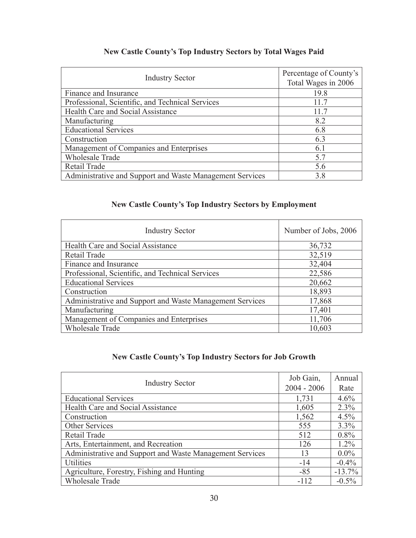### **New Castle County's Top Industry Sectors by Total Wages Paid**

| <b>Industry Sector</b>                                   | Percentage of County's<br>Total Wages in 2006 |
|----------------------------------------------------------|-----------------------------------------------|
| Finance and Insurance                                    | 19.8                                          |
| Professional, Scientific, and Technical Services         | 11.7                                          |
| Health Care and Social Assistance                        | 11.7                                          |
| Manufacturing                                            | 8.2                                           |
| <b>Educational Services</b>                              | 6.8                                           |
| Construction                                             | 6.3                                           |
| Management of Companies and Enterprises                  | 6.1                                           |
| <b>Wholesale Trade</b>                                   | 5.7                                           |
| Retail Trade                                             | 5.6                                           |
| Administrative and Support and Waste Management Services | 3.8                                           |

### **New Castle County's Top Industry Sectors by Employment**

| <b>Industry Sector</b>                                   | Number of Jobs, 2006 |
|----------------------------------------------------------|----------------------|
| Health Care and Social Assistance                        | 36,732               |
| Retail Trade                                             | 32,519               |
| Finance and Insurance                                    | 32,404               |
| Professional, Scientific, and Technical Services         | 22,586               |
| <b>Educational Services</b>                              | 20,662               |
| Construction                                             | 18,893               |
| Administrative and Support and Waste Management Services | 17,868               |
| Manufacturing                                            | 17,401               |
| Management of Companies and Enterprises                  | 11,706               |
| <b>Wholesale Trade</b>                                   | 10,603               |

### **New Castle County's Top Industry Sectors for Job Growth**

|                                                          | Job Gain,     | Annual    |
|----------------------------------------------------------|---------------|-----------|
| <b>Industry Sector</b>                                   | $2004 - 2006$ | Rate      |
| <b>Educational Services</b>                              | 1,731         | 4.6%      |
| Health Care and Social Assistance                        | 1,605         | $2.3\%$   |
| Construction                                             | 1,562         | $4.5\%$   |
| Other Services                                           | 555           | $3.3\%$   |
| Retail Trade                                             | 512           | $0.8\%$   |
| Arts, Entertainment, and Recreation                      | 126           | $1.2\%$   |
| Administrative and Support and Waste Management Services | 13            | $0.0\%$   |
| <b>Utilities</b>                                         | $-14$         | $-0.4\%$  |
| Agriculture, Forestry, Fishing and Hunting               | $-85$         | $-13.7\%$ |
| <b>Wholesale Trade</b>                                   | $-112$        | $-0.5\%$  |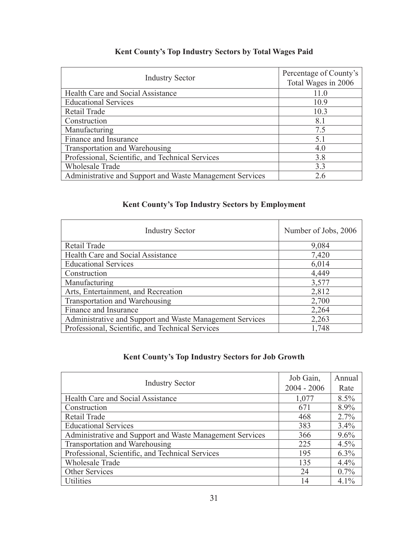### **Kent County's Top Industry Sectors by Total Wages Paid**

| <b>Industry Sector</b>                                   | Percentage of County's<br>Total Wages in 2006 |
|----------------------------------------------------------|-----------------------------------------------|
| Health Care and Social Assistance                        | 11.0                                          |
| <b>Educational Services</b>                              | 10.9                                          |
| Retail Trade                                             | 10.3                                          |
| Construction                                             | 8.1                                           |
| Manufacturing                                            | 7.5                                           |
| Finance and Insurance                                    | 5.1                                           |
| Transportation and Warehousing                           | 4.0                                           |
| Professional, Scientific, and Technical Services         | 3.8                                           |
| <b>Wholesale Trade</b>                                   | 3.3                                           |
| Administrative and Support and Waste Management Services | 2.6                                           |

### **Kent County's Top Industry Sectors by Employment**

| <b>Industry Sector</b>                                   | Number of Jobs, 2006 |
|----------------------------------------------------------|----------------------|
| Retail Trade                                             | 9,084                |
| Health Care and Social Assistance                        | 7,420                |
| <b>Educational Services</b>                              | 6,014                |
| Construction                                             | 4,449                |
| Manufacturing                                            | 3,577                |
| Arts, Entertainment, and Recreation                      | 2,812                |
| Transportation and Warehousing                           | 2,700                |
| Finance and Insurance                                    | 2,264                |
| Administrative and Support and Waste Management Services | 2,263                |
| Professional, Scientific, and Technical Services         | 1,748                |

### **Kent County's Top Industry Sectors for Job Growth**

| <b>Industry Sector</b>                                   | Job Gain,     | Annual  |
|----------------------------------------------------------|---------------|---------|
|                                                          | $2004 - 2006$ | Rate    |
| Health Care and Social Assistance                        | 1,077         | $8.5\%$ |
| Construction                                             | 671           | 8.9%    |
| Retail Trade                                             | 468           | $2.7\%$ |
| <b>Educational Services</b>                              | 383           | $3.4\%$ |
| Administrative and Support and Waste Management Services | 366           | $9.6\%$ |
| Transportation and Warehousing                           | 225           | $4.5\%$ |
| Professional, Scientific, and Technical Services         | 195           | $6.3\%$ |
| <b>Wholesale Trade</b>                                   | 135           | $4.4\%$ |
| Other Services                                           | 24            | $0.7\%$ |
| <b>Utilities</b>                                         | 14            | $4.1\%$ |